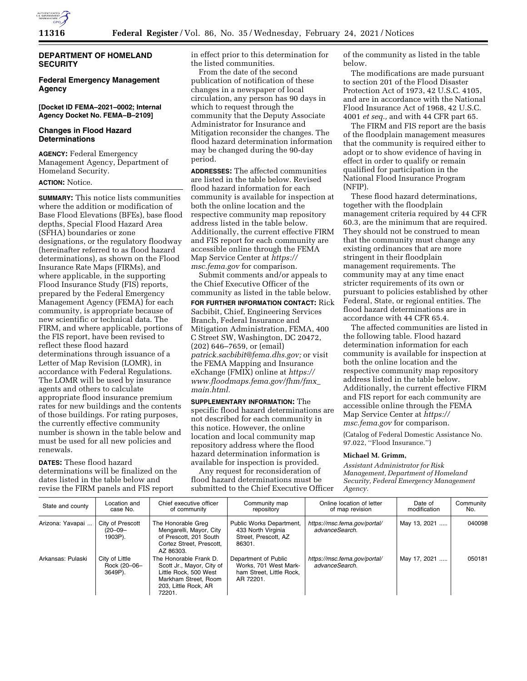

## **DEPARTMENT OF HOMELAND SECURITY**

#### **Federal Emergency Management Agency**

**[Docket ID FEMA–2021–0002; Internal Agency Docket No. FEMA–B–2109]** 

#### **Changes in Flood Hazard Determinations**

**AGENCY:** Federal Emergency Management Agency, Department of Homeland Security.

### **ACTION:** Notice.

**SUMMARY:** This notice lists communities where the addition or modification of Base Flood Elevations (BFEs), base flood depths, Special Flood Hazard Area (SFHA) boundaries or zone designations, or the regulatory floodway (hereinafter referred to as flood hazard determinations), as shown on the Flood Insurance Rate Maps (FIRMs), and where applicable, in the supporting Flood Insurance Study (FIS) reports, prepared by the Federal Emergency Management Agency (FEMA) for each community, is appropriate because of new scientific or technical data. The FIRM, and where applicable, portions of the FIS report, have been revised to reflect these flood hazard determinations through issuance of a Letter of Map Revision (LOMR), in accordance with Federal Regulations. The LOMR will be used by insurance agents and others to calculate appropriate flood insurance premium rates for new buildings and the contents of those buildings. For rating purposes, the currently effective community number is shown in the table below and must be used for all new policies and renewals.

### **DATES:** These flood hazard

determinations will be finalized on the dates listed in the table below and revise the FIRM panels and FIS report

in effect prior to this determination for the listed communities.

From the date of the second publication of notification of these changes in a newspaper of local circulation, any person has 90 days in which to request through the community that the Deputy Associate Administrator for Insurance and Mitigation reconsider the changes. The flood hazard determination information may be changed during the 90-day period.

**ADDRESSES:** The affected communities are listed in the table below. Revised flood hazard information for each community is available for inspection at both the online location and the respective community map repository address listed in the table below. Additionally, the current effective FIRM and FIS report for each community are accessible online through the FEMA Map Service Center at *[https://](https://msc.fema.gov) [msc.fema.gov](https://msc.fema.gov)* for comparison.

Submit comments and/or appeals to the Chief Executive Officer of the community as listed in the table below. **FOR FURTHER INFORMATION CONTACT:** Rick Sacbibit, Chief, Engineering Services Branch, Federal Insurance and Mitigation Administration, FEMA, 400 C Street SW, Washington, DC 20472, (202) 646–7659, or (email) *[patrick.sacbibit@fema.dhs.gov;](mailto:patrick.sacbibit@fema.dhs.gov)* or visit the FEMA Mapping and Insurance eXchange (FMIX) online at *[https://](https://www.floodmaps.fema.gov/fhm/fmx_main.html) [www.floodmaps.fema.gov/fhm/fmx](https://www.floodmaps.fema.gov/fhm/fmx_main.html)*\_

**SUPPLEMENTARY INFORMATION:** The specific flood hazard determinations are not described for each community in this notice. However, the online location and local community map repository address where the flood hazard determination information is available for inspection is provided.

*[main.html.](https://www.floodmaps.fema.gov/fhm/fmx_main.html)* 

Any request for reconsideration of flood hazard determinations must be submitted to the Chief Executive Officer of the community as listed in the table below.

The modifications are made pursuant to section 201 of the Flood Disaster Protection Act of 1973, 42 U.S.C. 4105, and are in accordance with the National Flood Insurance Act of 1968, 42 U.S.C. 4001 *et seq.,* and with 44 CFR part 65.

The FIRM and FIS report are the basis of the floodplain management measures that the community is required either to adopt or to show evidence of having in effect in order to qualify or remain qualified for participation in the National Flood Insurance Program (NFIP).

These flood hazard determinations, together with the floodplain management criteria required by 44 CFR 60.3, are the minimum that are required. They should not be construed to mean that the community must change any existing ordinances that are more stringent in their floodplain management requirements. The community may at any time enact stricter requirements of its own or pursuant to policies established by other Federal, State, or regional entities. The flood hazard determinations are in accordance with 44 CFR 65.4.

The affected communities are listed in the following table. Flood hazard determination information for each community is available for inspection at both the online location and the respective community map repository address listed in the table below. Additionally, the current effective FIRM and FIS report for each community are accessible online through the FEMA Map Service Center at *[https://](https://msc.fema.gov) [msc.fema.gov](https://msc.fema.gov)* for comparison.

(Catalog of Federal Domestic Assistance No. 97.022, ''Flood Insurance.'')

#### **Michael M. Grimm,**

*Assistant Administrator for Risk Management, Department of Homeland Security, Federal Emergency Management Agency.* 

| State and county  | Location and<br>case No.                   | Chief executive officer<br>of community                                                                                                | Community map<br>repository                                                            | Online location of letter<br>of map revision   | Date of<br>modification | Community<br>No. |
|-------------------|--------------------------------------------|----------------------------------------------------------------------------------------------------------------------------------------|----------------------------------------------------------------------------------------|------------------------------------------------|-------------------------|------------------|
| Arizona: Yavapai  | City of Prescott<br>$(20 - 09)$<br>1903P). | The Honorable Greg<br>Mengarelli, Mayor, City<br>of Prescott, 201 South<br>Cortez Street, Prescott,<br>AZ 86303.                       | Public Works Department,<br>433 North Virginia<br>Street, Prescott, AZ<br>86301.       | https://msc.fema.gov/portal/<br>advanceSearch. | May 13, 2021            | 040098           |
| Arkansas: Pulaski | City of Little<br>Rock (20-06-<br>3649P).  | The Honorable Frank D.<br>Scott Jr., Mayor, City of<br>Little Rock, 500 West<br>Markham Street, Room<br>203. Little Rock, AR<br>72201. | Department of Public<br>Works. 701 West Mark-<br>ham Street. Little Rock.<br>AR 72201. | https://msc.fema.gov/portal/<br>advanceSearch. | May 17, 2021            | 050181           |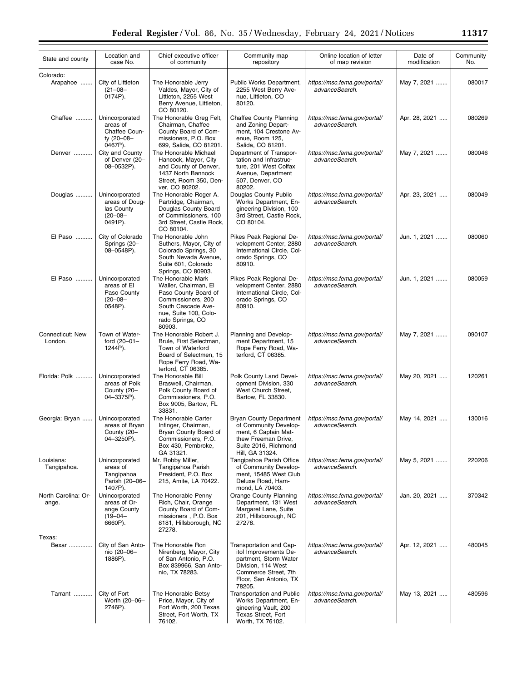| State and county             | Location and<br>case No.                                                  | Chief executive officer<br>of community                                                                                                                               | Community map<br>repository                                                                                                                                 | Online location of letter<br>of map revision   | Date of<br>modification | Community<br>No. |
|------------------------------|---------------------------------------------------------------------------|-----------------------------------------------------------------------------------------------------------------------------------------------------------------------|-------------------------------------------------------------------------------------------------------------------------------------------------------------|------------------------------------------------|-------------------------|------------------|
| Colorado:<br>Arapahoe        | City of Littleton<br>$(21 - 08 -$<br>0174P).                              | The Honorable Jerry<br>Valdes, Mayor, City of<br>Littleton, 2255 West<br>Berry Avenue, Littleton,<br>CO 80120.                                                        | Public Works Department,<br>2255 West Berry Ave-<br>nue, Littleton, CO<br>80120.                                                                            | https://msc.fema.gov/portal/<br>advanceSearch. | May 7, 2021             | 080017           |
| Chaffee                      | Unincorporated<br>areas of<br>Chaffee Coun-<br>ty (20-08-<br>0467P).      | The Honorable Greg Felt,<br>Chairman, Chaffee<br>County Board of Com-<br>missioners, P.O. Box<br>699, Salida, CO 81201.                                               | <b>Chaffee County Planning</b><br>and Zoning Depart-<br>ment, 104 Crestone Av-<br>enue, Room 125,<br>Salida, CO 81201.                                      | https://msc.fema.gov/portal/<br>advanceSearch. | Apr. 28, 2021           | 080269           |
| Denver                       | City and County<br>of Denver (20-<br>08-0532P).                           | The Honorable Michael<br>Hancock, Mayor, City<br>and County of Denver,<br>1437 North Bannock<br>Street, Room 350, Den-<br>ver, CO 80202.                              | Department of Transpor-<br>tation and Infrastruc-<br>ture, 201 West Colfax<br>Avenue, Department<br>507, Denver, CO<br>80202.                               | https://msc.fema.gov/portal/<br>advanceSearch. | May 7, 2021             | 080046           |
| Douglas                      | Unincorporated<br>areas of Doug-<br>las County<br>$(20 - 08 -$<br>0491P). | The Honorable Roger A.<br>Partridge, Chairman,<br>Douglas County Board<br>of Commissioners, 100<br>3rd Street, Castle Rock,<br>CO 80104.                              | Douglas County Public<br>Works Department, En-<br>gineering Division, 100<br>3rd Street, Castle Rock,<br>CO 80104.                                          | https://msc.fema.gov/portal/<br>advanceSearch. | Apr. 23, 2021           | 080049           |
| El Paso                      | City of Colorado<br>Springs (20-<br>08-0548P).                            | The Honorable John<br>Suthers, Mayor, City of<br>Colorado Springs, 30<br>South Nevada Avenue,<br>Suite 601, Colorado<br>Springs, CO 80903.                            | Pikes Peak Regional De-<br>velopment Center, 2880<br>International Circle, Col-<br>orado Springs, CO<br>80910.                                              | https://msc.fema.gov/portal/<br>advanceSearch. | Jun. 1, 2021            | 080060           |
| El Paso                      | Unincorporated<br>areas of El<br>Paso County<br>$(20 - 08 -$<br>0548P).   | The Honorable Mark<br>Waller, Chairman, El<br>Paso County Board of<br>Commissioners, 200<br>South Cascade Ave-<br>nue, Suite 100, Colo-<br>rado Springs, CO<br>80903. | Pikes Peak Regional De-<br>velopment Center, 2880<br>International Circle, Col-<br>orado Springs, CO<br>80910.                                              | https://msc.fema.gov/portal/<br>advanceSearch. | Jun. 1, 2021            | 080059           |
| Connecticut: New<br>London.  | Town of Water-<br>ford (20-01-<br>1244P).                                 | The Honorable Robert J.<br>Brule, First Selectman,<br>Town of Waterford<br>Board of Selectmen, 15<br>Rope Ferry Road, Wa-<br>terford, CT 06385.                       | Planning and Develop-<br>ment Department, 15<br>Rope Ferry Road, Wa-<br>terford, CT 06385.                                                                  | https://msc.fema.gov/portal/<br>advanceSearch. | May 7, 2021             | 090107           |
| Florida: Polk                | Unincorporated<br>areas of Polk<br>County (20-<br>04-3375P).              | The Honorable Bill<br>Braswell, Chairman,<br>Polk County Board of<br>Commissioners, P.O.<br>Box 9005, Bartow, FL<br>33831.                                            | Polk County Land Devel-<br>opment Division, 330<br>West Church Street,<br>Bartow, FL 33830.                                                                 | https://msc.fema.gov/portal/<br>advanceSearch. | May 20, 2021            | 120261           |
| Georgia: Bryan               | Unincorporated<br>areas of Bryan<br>County (20–<br>04-3250P).             | The Honorable Carter<br>Infinger, Chairman,<br>Bryan County Board of<br>Commissioners, P.O.<br>Box 430, Pembroke,<br>GA 31321.                                        | <b>Bryan County Department</b><br>of Community Develop-<br>ment, 6 Captain Mat-<br>thew Freeman Drive,<br>Suite 2016, Richmond<br>Hill, GA 31324.           | https://msc.fema.gov/portal/<br>advanceSearch. | May 14, 2021            | 130016           |
| Louisiana:<br>Tangipahoa.    | Unincorporated<br>areas of<br>Tangipahoa<br>Parish (20-06-<br>1407P).     | Mr. Robby Miller,<br>Tangipahoa Parish<br>President, P.O. Box<br>215, Amite, LA 70422.                                                                                | Tangipahoa Parish Office<br>of Community Develop-<br>ment, 15485 West Club<br>Deluxe Road, Ham-<br>mond, LA 70403.                                          | https://msc.fema.gov/portal/<br>advanceSearch. | May 5, 2021             | 220206           |
| North Carolina: Or-<br>ange. | Unincorporated<br>areas of Or-<br>ange County<br>$(19 - 04 -$<br>6660P).  | The Honorable Penny<br>Rich, Chair, Orange<br>County Board of Com-<br>missioners, P.O. Box<br>8181, Hillsborough, NC<br>27278.                                        | <b>Orange County Planning</b><br>Department, 131 West<br>Margaret Lane, Suite<br>201, Hillsborough, NC<br>27278.                                            | https://msc.fema.gov/portal/<br>advanceSearch. | Jan. 20. 2021           | 370342           |
| Texas:<br>Bexar              | City of San Anto-<br>nio (20-06-<br>1886P).                               | The Honorable Ron<br>Nirenberg, Mayor, City<br>of San Antonio, P.O.<br>Box 839966, San Anto-<br>nio, TX 78283.                                                        | Transportation and Cap-<br>itol Improvements De-<br>partment, Storm Water<br>Division, 114 West<br>Commerce Street, 7th<br>Floor, San Antonio, TX<br>78205. | https://msc.fema.gov/portal/<br>advanceSearch. | Apr. 12, 2021           | 480045           |
| Tarrant                      | City of Fort<br>Worth (20-06-<br>2746P).                                  | The Honorable Betsy<br>Price, Mayor, City of<br>Fort Worth, 200 Texas<br>Street, Fort Worth, TX<br>76102.                                                             | Transportation and Public<br>Works Department, En-<br>gineering Vault, 200<br>Texas Street, Fort<br>Worth, TX 76102.                                        | https://msc.fema.gov/portal/<br>advanceSearch. | May 13, 2021            | 480596           |